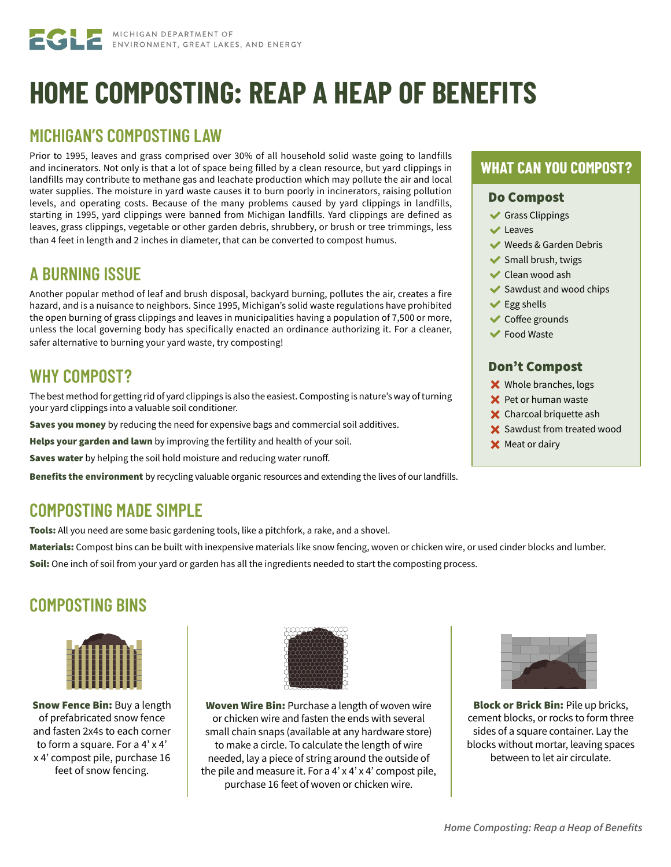# **HOME COMPOSTING: REAP A HEAP OF BENEFITS**

### **MICHIGAN'S COMPOSTING LAW**

Prior to 1995, leaves and grass comprised over 30% of all household solid waste going to landfills and incinerators. Not only is that a lot of space being filled by a clean resource, but yard clippings in landfills may contribute to methane gas and leachate production which may pollute the air and local water supplies. The moisture in yard waste causes it to burn poorly in incinerators, raising pollution levels, and operating costs. Because of the many problems caused by yard clippings in landfills, starting in 1995, yard clippings were banned from Michigan landfills. Yard clippings are defined as leaves, grass clippings, vegetable or other garden debris, shrubbery, or brush or tree trimmings, less than 4 feet in length and 2 inches in diameter, that can be converted to compost humus.

### **A BURNING ISSUE**

Another popular method of leaf and brush disposal, backyard burning, pollutes the air, creates a fire hazard, and is a nuisance to neighbors. Since 1995, Michigan's solid waste regulations have prohibited the open burning of grass clippings and leaves in municipalities having a population of 7,500 or more, unless the local governing body has specifically enacted an ordinance authorizing it. For a cleaner, safer alternative to burning your yard waste, try composting!

### **WHY COMPOST?**

The best method for getting rid of yard clippings is also the easiest. Composting is nature's way of turning your yard clippings into a valuable soil conditioner.

Saves you money by reducing the need for expensive bags and commercial soil additives.

Helps your garden and lawn by improving the fertility and health of your soil.

Saves water by helping the soil hold moisture and reducing water runoff.

Benefits the environment by recycling valuable organic resources and extending the lives of our landfills.

### **COMPOSTING MADE SIMPLE**

Tools: All you need are some basic gardening tools, like a pitchfork, a rake, and a shovel.

Materials: Compost bins can be built with inexpensive materials like snow fencing, woven or chicken wire, or used cinder blocks and lumber.

Soil: One inch of soil from your yard or garden has all the ingredients needed to start the composting process.

### **COMPOSTING BINS**



Snow Fence Bin: Buy a length of prefabricated snow fence and fasten 2x4s to each corner to form a square. For a 4' x 4' x 4' compost pile, purchase 16 feet of snow fencing.



Woven Wire Bin: Purchase a length of woven wire or chicken wire and fasten the ends with several small chain snaps (available at any hardware store) to make a circle. To calculate the length of wire needed, lay a piece of string around the outside of the pile and measure it. For a 4' x 4' x 4' compost pile, purchase 16 feet of woven or chicken wire.

### **WHAT CAN YOU COMPOST?**

#### Do Compost

- Grass Clippings
- $\vee$  Leaves
- Weeds & Garden Debris
- $\blacktriangleright$  Small brush, twigs
- **◆ Clean wood ash**
- $\blacktriangleright$  Sawdust and wood chips
- $\blacktriangleright$  Egg shells
- **◆ Coffee grounds**
- Food Waste

### Don't Compost

- **X** Whole branches, logs
- $\times$  Pet or human waste
- **X** Charcoal briquette ash
- Sawdust from treated wood
- **X** Meat or dairy



Block or Brick Bin: Pile up bricks, cement blocks, or rocks to form three sides of a square container. Lay the blocks without mortar, leaving spaces between to let air circulate.